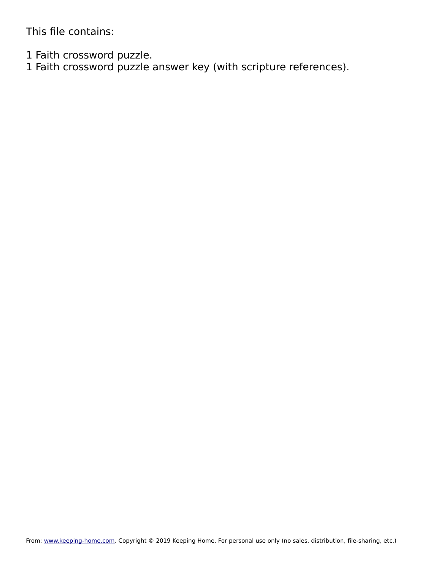This file contains:

1 Faith crossword puzzle.

1 Faith crossword puzzle answer key (with scripture references).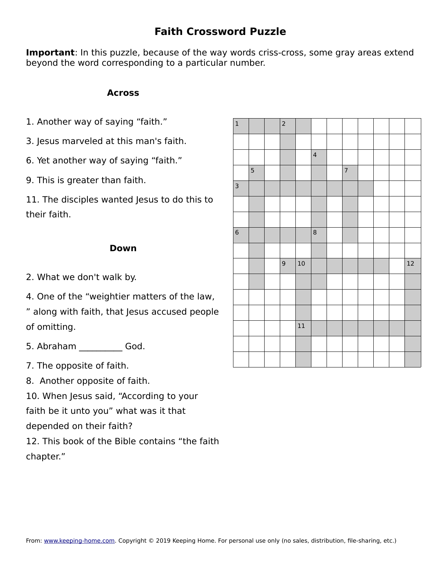## **Faith Crossword Puzzle**

**Important**: In this puzzle, because of the way words criss-cross, some gray areas extend beyond the word corresponding to a particular number.

### **Across**

- 1. Another way of saying "faith."
- 3. Jesus marveled at this man's faith.
- 6. Yet another way of saying "faith."
- 9. This is greater than faith.

11. The disciples wanted Jesus to do this to their faith.

### **Down**

2. What we don't walk by.

4. One of the "weightier matters of the law, " along with faith, that Jesus accused people of omitting.

5. Abraham God.

- 7. The opposite of faith.
- 8. Another opposite of faith.

10. When Jesus said, "According to your

faith be it unto you" what was it that

depended on their faith?

12. This book of the Bible contains "the faith chapter."

| $\mathbf 1$             |                | $\overline{c}$ |        |                         |                |  |        |
|-------------------------|----------------|----------------|--------|-------------------------|----------------|--|--------|
|                         |                |                |        |                         |                |  |        |
|                         |                |                |        | $\overline{\mathbf{4}}$ |                |  |        |
|                         | $\overline{5}$ |                |        |                         | $\overline{7}$ |  |        |
| $\overline{\mathbf{3}}$ |                |                |        |                         |                |  |        |
|                         |                |                |        |                         |                |  |        |
|                         |                |                |        |                         |                |  |        |
| $\bf 6$                 |                |                |        | $\,8\,$                 |                |  |        |
|                         |                |                |        |                         |                |  |        |
|                         |                | $\mathsf 9$    | 10     |                         |                |  | $12\,$ |
|                         |                |                |        |                         |                |  |        |
|                         |                |                |        |                         |                |  |        |
|                         |                |                |        |                         |                |  |        |
|                         |                |                | $11\,$ |                         |                |  |        |
|                         |                |                |        |                         |                |  |        |
|                         |                |                |        |                         |                |  |        |